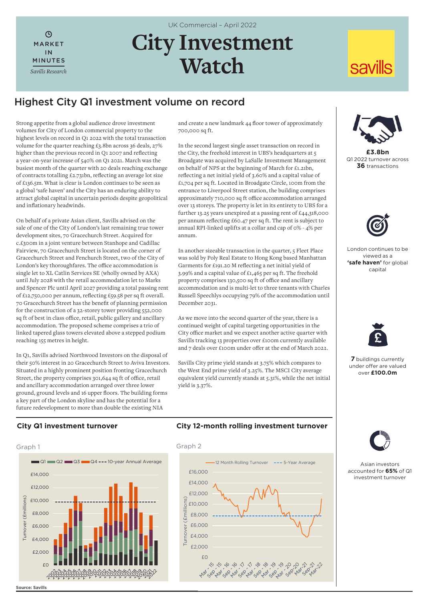$\mathcal{L}$ MARKET IN MINUTES *Savills Research* UK Commercial – April 2022

# **City Investment Watch**

# Highest City Q1 investment volume on record

Strong appetite from a global audience drove investment volumes for City of London commercial property to the highest levels on record in Q1 2022 with the total transaction volume for the quarter reaching £3.8bn across 36 deals, 27% higher than the previous record in Q1 2007 and reflecting a year-on-year increase of 540% on Q1 2021. March was the busiest month of the quarter with 20 deals reaching exchange of contracts totalling £2.731bn, reflecting an average lot size of £136.5m. What is clear is London continues to be seen as a global 'safe haven' and the City has an enduring ability to attract global capital in uncertain periods despite geopolitical and inflationary headwinds.

On behalf of a private Asian client, Savills advised on the sale of one of the City of London's last remaining true tower development sites, 70 Gracechurch Street. Acquired for c.£300m in a joint venture between Stanhope and Cadillac Fairview, 70 Gracechurch Street is located on the corner of Gracechurch Street and Fenchurch Street, two of the City of London's key thoroughfares. The office accommodation is single let to XL Catlin Services SE (wholly owned by AXA) until July 2028 with the retail accommodation let to Marks and Spencer Plc until April 2027 providing a total passing rent of £12,750,000 per annum, reflecting £59.58 per sq ft overall. 70 Gracechurch Street has the benefit of planning permission for the construction of a 32-storey tower providing 552,000 sq ft of best in class office, retail, public gallery and ancillary accommodation. The proposed scheme comprises a trio of linked tapered glass towers elevated above a stepped podium reaching 155 metres in height.

In Q1, Savills advised Northwood Investors on the disposal of their 50% interest in 20 Gracechurch Street to Aviva Investors. Situated in a highly prominent position fronting Gracechurch Street, the property comprises 301,644 sq ft of office, retail and ancillary accommodation arranged over three lower ground, ground levels and 16 upper floors. The building forms a key part of the London skyline and has the potential for a future redevelopment to more than double the existing NIA

and create a new landmark 44 floor tower of approximately 700,000 sq ft.

In the second largest single asset transaction on record in the City, the freehold interest in UBS's headquarters at 5 Broadgate was acquired by LaSalle Investment Management on behalf of NPS at the beginning of March for £1.21bn, reflecting a net initial yield of 3.60% and a capital value of £1,704 per sq ft. Located in Broadgate Circle, 100m from the entrance to Liverpool Street station, the building comprises approximately 710,000 sq ft office accommodation arranged over 13 storeys. The property is let in its entirety to UBS for a further 13.25 years unexpired at a passing rent of £44,318,000 per annum reflecting £60.47 per sq ft. The rent is subject to annual RPI-linked uplifts at a collar and cap of 0% - 4% per annum.

In another sizeable transaction in the quarter, 5 Fleet Place was sold by Poly Real Estate to Hong Kong based Manhattan Garments for £191.20 M reflecting a net initial yield of 3.99% and a capital value of £1,465 per sq ft. The freehold property comprises 130,500 sq ft of office and ancillary accommodation and is multi-let to three tenants with Charles Russell Speechlys occupying 79% of the accommodation until December 2031.

As we move into the second quarter of the year, there is a continued weight of capital targeting opportunities in the City office market and we expect another active quarter with Savills tracking 13 properties over £100m currently available and 7 deals over £100m under offer at the end of March 2022.

Savills City prime yield stands at 3.75% which compares to the West End prime yield of 3.25%. The MSCI City average equivalent yield currently stands at 5.31%, while the net initial yield is 3.37%.



**savills** 

**£3.8bn** Q1 2022 turnover across **36** transactions



London continues to be viewed as a **'safe haven'** for global capital



**7** buildings currently under offer are valued over **£100.0m**



Asian investors accounted for **65%** of Q1 investment turnover

# **City Q1 investment turnover**



## **City 12-month rolling investment turnover**